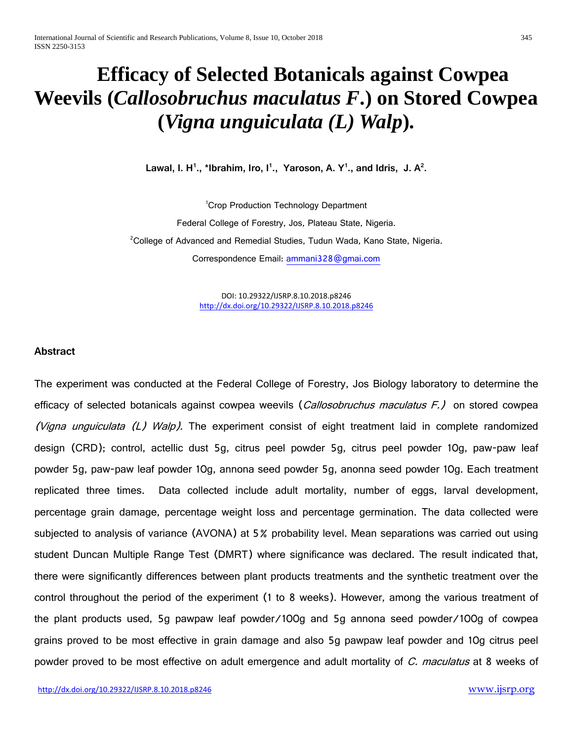# **Efficacy of Selected Botanicals against Cowpea Weevils (***Callosobruchus maculatus F***.) on Stored Cowpea (***Vigna unguiculata (L) Walp***).**

**Lawal, I. H<sup>1</sup> ., \*Ibrahim, Iro, I<sup>1</sup> ., Yaroson, A. Y<sup>1</sup> ., and Idris, J. A<sup>2</sup> .**

1 Crop Production Technology Department Federal College of Forestry, Jos, Plateau State, Nigeria. <sup>2</sup>College of Advanced and Remedial Studies, Tudun Wada, Kano State, Nigeria. Correspondence Email: [ammani328@gmai.com](mailto:ammani328@gmai.com)

> DOI: 10.29322/IJSRP.8.10.2018.p8246 <http://dx.doi.org/10.29322/IJSRP.8.10.2018.p8246>

#### **Abstract**

The experiment was conducted at the Federal College of Forestry, Jos Biology laboratory to determine the efficacy of selected botanicals against cowpea weevils (*Callosobruchus maculatus F.)* on stored cowpea (Vigna unguiculata (L) Walp). The experiment consist of eight treatment laid in complete randomized design (CRD); control, actellic dust 5g, citrus peel powder 5g, citrus peel powder 10g, paw-paw leaf powder 5g, paw-paw leaf powder 10g, annona seed powder 5g, anonna seed powder 10g. Each treatment replicated three times. Data collected include adult mortality, number of eggs, larval development, percentage grain damage, percentage weight loss and percentage germination. The data collected were subjected to analysis of variance (AVONA) at 5% probability level. Mean separations was carried out using student Duncan Multiple Range Test (DMRT) where significance was declared. The result indicated that, there were significantly differences between plant products treatments and the synthetic treatment over the control throughout the period of the experiment (1 to 8 weeks). However, among the various treatment of the plant products used, 5g pawpaw leaf powder/100g and 5g annona seed powder/100g of cowpea grains proved to be most effective in grain damage and also 5g pawpaw leaf powder and 10g citrus peel powder proved to be most effective on adult emergence and adult mortality of C. maculatus at 8 weeks of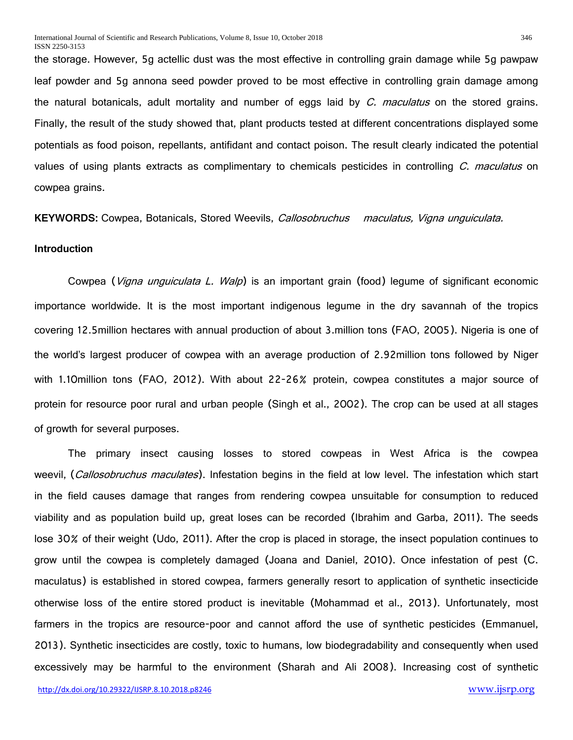the storage. However, 5g actellic dust was the most effective in controlling grain damage while 5g pawpaw leaf powder and 5g annona seed powder proved to be most effective in controlling grain damage among the natural botanicals, adult mortality and number of eggs laid by C. maculatus on the stored grains. Finally, the result of the study showed that, plant products tested at different concentrations displayed some potentials as food poison, repellants, antifidant and contact poison. The result clearly indicated the potential values of using plants extracts as complimentary to chemicals pesticides in controlling C. maculatus on cowpea grains.

**KEYWORDS:** Cowpea, Botanicals, Stored Weevils, Callosobruchus maculatus, Vigna unguiculata.

# **Introduction**

Cowpea (*Vigna unguiculata L. Walp*) is an important grain (food) legume of significant economic importance worldwide. It is the most important indigenous legume in the dry savannah of the tropics covering 12.5million hectares with annual production of about 3.million tons (FAO, 2005). Nigeria is one of the world's largest producer of cowpea with an average production of 2.92million tons followed by Niger with 1.10million tons (FAO, 2012). With about 22-26% protein, cowpea constitutes a major source of protein for resource poor rural and urban people (Singh et al., 2002). The crop can be used at all stages of growth for several purposes.

The primary insect causing losses to stored cowpeas in West Africa is the cowpea weevil, (Callosobruchus maculates). Infestation begins in the field at low level. The infestation which start in the field causes damage that ranges from rendering cowpea unsuitable for consumption to reduced viability and as population build up, great loses can be recorded (Ibrahim and Garba, 2011). The seeds lose 30% of their weight (Udo, 2011). After the crop is placed in storage, the insect population continues to grow until the cowpea is completely damaged (Joana and Daniel, 2010). Once infestation of pest (C. maculatus) is established in stored cowpea, farmers generally resort to application of synthetic insecticide otherwise loss of the entire stored product is inevitable (Mohammad et al., 2013). Unfortunately, most farmers in the tropics are resource-poor and cannot afford the use of synthetic pesticides (Emmanuel, 2013). Synthetic insecticides are costly, toxic to humans, low biodegradability and consequently when used excessively may be harmful to the environment (Sharah and Ali 2008). Increasing cost of synthetic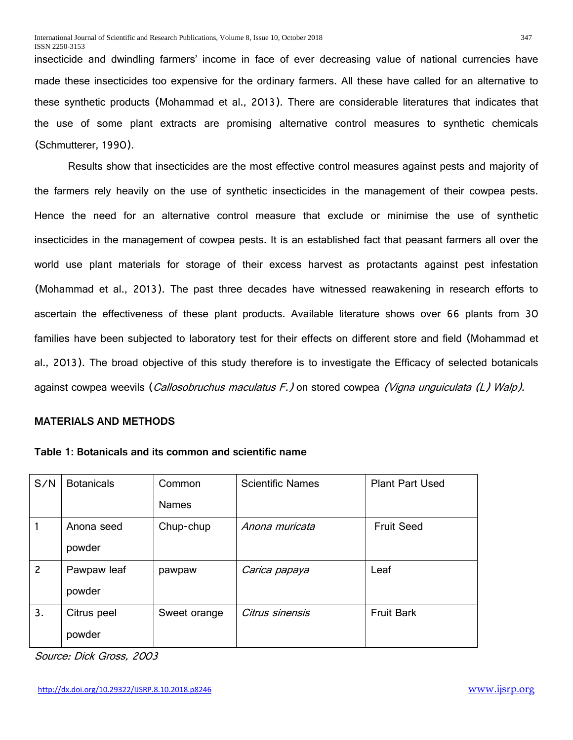insecticide and dwindling farmers' income in face of ever decreasing value of national currencies have made these insecticides too expensive for the ordinary farmers. All these have called for an alternative to these synthetic products (Mohammad et al., 2013). There are considerable literatures that indicates that the use of some plant extracts are promising alternative control measures to synthetic chemicals (Schmutterer, 1990).

Results show that insecticides are the most effective control measures against pests and majority of the farmers rely heavily on the use of synthetic insecticides in the management of their cowpea pests. Hence the need for an alternative control measure that exclude or minimise the use of synthetic insecticides in the management of cowpea pests. It is an established fact that peasant farmers all over the world use plant materials for storage of their excess harvest as protactants against pest infestation (Mohammad et al., 2013). The past three decades have witnessed reawakening in research efforts to ascertain the effectiveness of these plant products. Available literature shows over 66 plants from 30 families have been subjected to laboratory test for their effects on different store and field (Mohammad et al., 2013). The broad objective of this study therefore is to investigate the Efficacy of selected botanicals against cowpea weevils (*Callosobruchus maculatus F.)* on stored cowpea *(Vigna unguiculata (L) Walp).* 

# **MATERIALS AND METHODS**

| Table 1: Botanicals and its common and scientific name |
|--------------------------------------------------------|
|--------------------------------------------------------|

| S/N            | <b>Botanicals</b> | Common       | <b>Scientific Names</b> | <b>Plant Part Used</b> |
|----------------|-------------------|--------------|-------------------------|------------------------|
|                |                   | <b>Names</b> |                         |                        |
|                | Anona seed        | Chup-chup    | Anona muricata          | <b>Fruit Seed</b>      |
|                | powder            |              |                         |                        |
| $\overline{c}$ | Pawpaw leaf       | pawpaw       | Carica papaya           | Leaf                   |
|                | powder            |              |                         |                        |
| 3.             | Citrus peel       | Sweet orange | Citrus sinensis         | <b>Fruit Bark</b>      |
|                | powder            |              |                         |                        |

Source: Dick Gross, 2003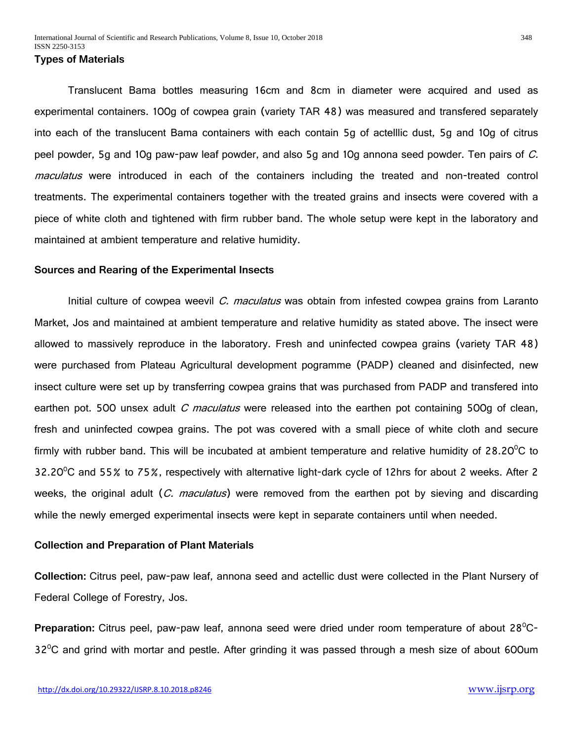# **Types of Materials**

Translucent Bama bottles measuring 16cm and 8cm in diameter were acquired and used as experimental containers. 100g of cowpea grain (variety TAR 48) was measured and transfered separately into each of the translucent Bama containers with each contain 5g of actelllic dust, 5g and 10g of citrus peel powder, 5g and 10g paw-paw leaf powder, and also 5g and 10g annona seed powder. Ten pairs of  $C$ . maculatus were introduced in each of the containers including the treated and non-treated control treatments. The experimental containers together with the treated grains and insects were covered with a piece of white cloth and tightened with firm rubber band. The whole setup were kept in the laboratory and maintained at ambient temperature and relative humidity.

# **Sources and Rearing of the Experimental Insects**

Initial culture of cowpea weevil *C. maculatus* was obtain from infested cowpea grains from Laranto Market, Jos and maintained at ambient temperature and relative humidity as stated above. The insect were allowed to massively reproduce in the laboratory. Fresh and uninfected cowpea grains (variety TAR 48) were purchased from Plateau Agricultural development pogramme (PADP) cleaned and disinfected, new insect culture were set up by transferring cowpea grains that was purchased from PADP and transfered into earthen pot. 500 unsex adult *C maculatus* were released into the earthen pot containing 500g of clean, fresh and uninfected cowpea grains. The pot was covered with a small piece of white cloth and secure firmly with rubber band. This will be incubated at ambient temperature and relative humidity of 28.20 $\mathrm{^oC}$  to 32.20<sup>o</sup>C and 55% to 75%, respectively with alternative light-dark cycle of 12hrs for about 2 weeks. After 2 weeks, the original adult (C. maculatus) were removed from the earthen pot by sieving and discarding while the newly emerged experimental insects were kept in separate containers until when needed.

# **Collection and Preparation of Plant Materials**

**Collection:** Citrus peel, paw-paw leaf, annona seed and actellic dust were collected in the Plant Nursery of Federal College of Forestry, Jos.

**Preparation:** Citrus peel, paw-paw leaf, annona seed were dried under room temperature of about 28<sup>°</sup>C- $32^{\circ}$ C and grind with mortar and pestle. After grinding it was passed through a mesh size of about 600um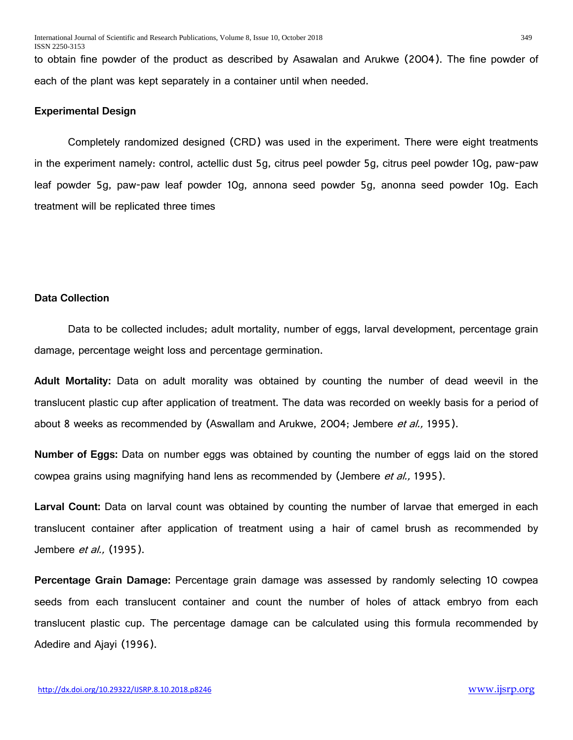to obtain fine powder of the product as described by Asawalan and Arukwe (2004). The fine powder of each of the plant was kept separately in a container until when needed.

#### **Experimental Design**

Completely randomized designed (CRD) was used in the experiment. There were eight treatments in the experiment namely: control, actellic dust 5g, citrus peel powder 5g, citrus peel powder 10g, paw-paw leaf powder 5g, paw-paw leaf powder 10g, annona seed powder 5g, anonna seed powder 10g. Each treatment will be replicated three times

# **Data Collection**

Data to be collected includes; adult mortality, number of eggs, larval development, percentage grain damage, percentage weight loss and percentage germination.

**Adult Mortality:** Data on adult morality was obtained by counting the number of dead weevil in the translucent plastic cup after application of treatment. The data was recorded on weekly basis for a period of about 8 weeks as recommended by (Aswallam and Arukwe, 2004; Jembere *et al.,* 1995).

**Number of Eggs:** Data on number eggs was obtained by counting the number of eggs laid on the stored cowpea grains using magnifying hand lens as recommended by (Jembere *et al.,* 1995).

**Larval Count:** Data on larval count was obtained by counting the number of larvae that emerged in each translucent container after application of treatment using a hair of camel brush as recommended by Jembere *et al.*, (1995).

**Percentage Grain Damage:** Percentage grain damage was assessed by randomly selecting 10 cowpea seeds from each translucent container and count the number of holes of attack embryo from each translucent plastic cup. The percentage damage can be calculated using this formula recommended by Adedire and Ajayi (1996).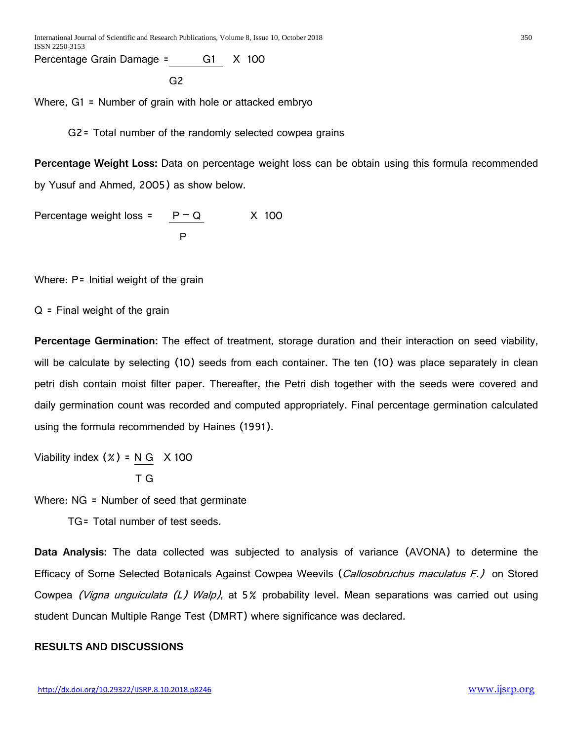Percentage Grain Damage = G1 X 100

 $G<sub>2</sub>$ 

Where, G1 = Number of grain with hole or attacked embryo

G2= Total number of the randomly selected cowpea grains

**Percentage Weight Loss:** Data on percentage weight loss can be obtain using this formula recommended by Yusuf and Ahmed, 2005) as show below.

Percentage weight loss =  $P-Q$  X 100 P

Where: P= Initial weight of the grain

 $Q =$  Final weight of the grain

**Percentage Germination:** The effect of treatment, storage duration and their interaction on seed viability, will be calculate by selecting (10) seeds from each container. The ten (10) was place separately in clean petri dish contain moist filter paper. Thereafter, the Petri dish together with the seeds were covered and daily germination count was recorded and computed appropriately. Final percentage germination calculated using the formula recommended by Haines (1991).

Viability index  $(X) = N G X 100$ T G

Where: NG = Number of seed that germinate

TG= Total number of test seeds.

**Data Analysis:** The data collected was subjected to analysis of variance (AVONA) to determine the Efficacy of Some Selected Botanicals Against Cowpea Weevils (*Callosobruchus maculatus F.)* on Stored Cowpea (Vigna unguiculata (L) Walp), at 5% probability level. Mean separations was carried out using student Duncan Multiple Range Test (DMRT) where significance was declared.

# **RESULTS AND DISCUSSIONS**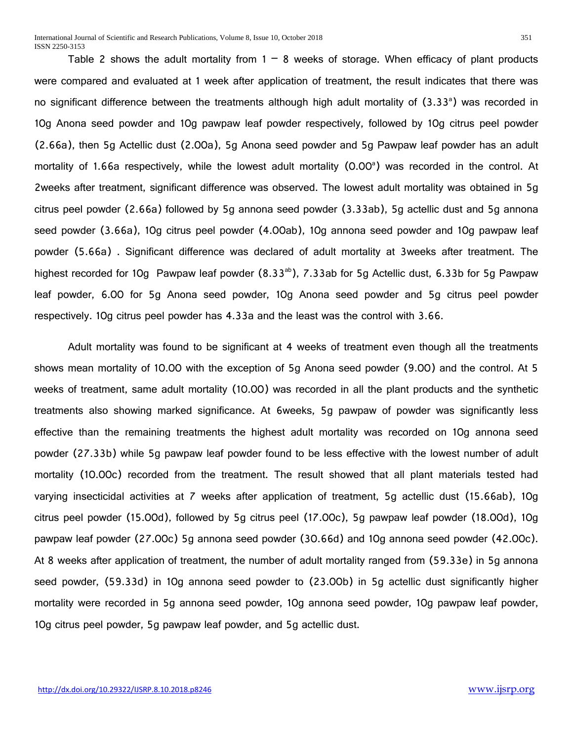Table 2 shows the adult mortality from  $1 - 8$  weeks of storage. When efficacy of plant products were compared and evaluated at 1 week after application of treatment, the result indicates that there was no significant difference between the treatments although high adult mortality of (3.33<sup>a</sup>) was recorded in 10g Anona seed powder and 10g pawpaw leaf powder respectively, followed by 10g citrus peel powder (2.66a), then 5g Actellic dust (2.00a), 5g Anona seed powder and 5g Pawpaw leaf powder has an adult mortality of 1.66a respectively, while the lowest adult mortality (0.00<sup>a</sup>) was recorded in the control. At 2weeks after treatment, significant difference was observed. The lowest adult mortality was obtained in 5g citrus peel powder (2.66a) followed by 5g annona seed powder (3.33ab), 5g actellic dust and 5g annona seed powder (3.66a), 10g citrus peel powder (4.00ab), 10g annona seed powder and 10g pawpaw leaf powder (5.66a) . Significant difference was declared of adult mortality at 3weeks after treatment. The highest recorded for 10g Pawpaw leaf powder (8.33<sup>ab</sup>), 7.33ab for 5g Actellic dust, 6.33b for 5g Pawpaw leaf powder, 6.00 for 5g Anona seed powder, 10g Anona seed powder and 5g citrus peel powder respectively. 10g citrus peel powder has 4.33a and the least was the control with 3.66.

Adult mortality was found to be significant at 4 weeks of treatment even though all the treatments shows mean mortality of 10.00 with the exception of 5g Anona seed powder (9.00) and the control. At 5 weeks of treatment, same adult mortality (10.00) was recorded in all the plant products and the synthetic treatments also showing marked significance. At 6weeks, 5g pawpaw of powder was significantly less effective than the remaining treatments the highest adult mortality was recorded on 10g annona seed powder (27.33b) while 5g pawpaw leaf powder found to be less effective with the lowest number of adult mortality (10.00c) recorded from the treatment. The result showed that all plant materials tested had varying insecticidal activities at 7 weeks after application of treatment, 5g actellic dust (15.66ab), 10g citrus peel powder (15.00d), followed by 5g citrus peel (17.00c), 5g pawpaw leaf powder (18.00d), 10g pawpaw leaf powder (27.00c) 5g annona seed powder (30.66d) and 10g annona seed powder (42.00c). At 8 weeks after application of treatment, the number of adult mortality ranged from (59.33e) in 5g annona seed powder, (59.33d) in 10g annona seed powder to (23.00b) in 5g actellic dust significantly higher mortality were recorded in 5g annona seed powder, 10g annona seed powder, 10g pawpaw leaf powder, 10g citrus peel powder, 5g pawpaw leaf powder, and 5g actellic dust.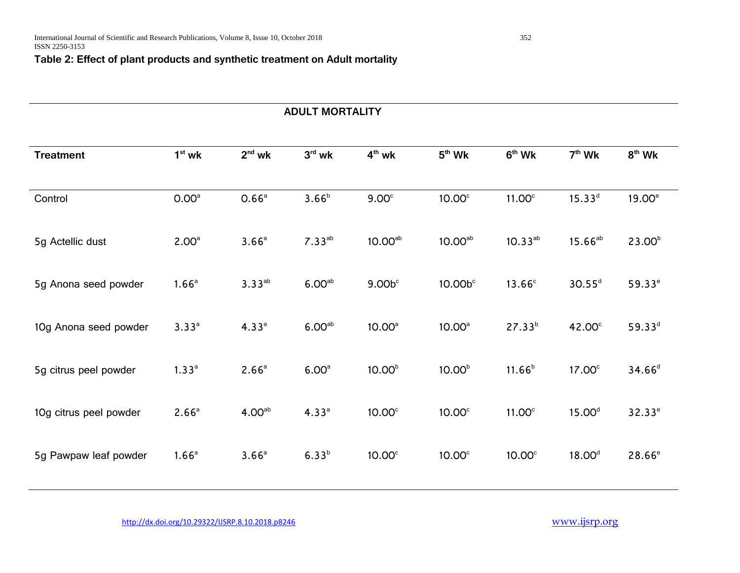# **Table 2: Effect of plant products and synthetic treatment on Adult mortality**

# **ADULT MORTALITY Treatment 1st wk 2nd wk 3rd wk 4th wk 5th Wk 6th Wk 7th Wk 8th Wk** Control 0.00a 0.66<sup>a</sup> 3.66<sup>b</sup> 9.00c 10.00c 11.00c 15.33<sup>d</sup> 19.00e 5g Actellic dust  $2.00^a$   $3.66^a$   $7.33^{ab}$   $10.00^{ab}$   $10.00^{ab}$   $10.33^{ab}$   $15.66^{ab}$   $23.00^b$ 5g Anona seed powder  $1.66^a$   $3.33^{ab}$   $6.00^{ab}$   $9.00b^c$   $10.00b^c$   $13.66^c$   $30.55^d$   $59.33^e$ 10g Anona seed powder  $3.33^a$  4.33<sup>a</sup> 6.00<sup>ab</sup> 10.00<sup>a</sup> 10.00<sup>a</sup> 27.33<sup>b</sup> 42.00<sup>c</sup> 59.33<sup>d</sup> 5g citrus peel powder  $1.33^{\circ}$   $2.66^{\circ}$   $6.00^{\circ}$   $10.00^{\circ}$   $10.00^{\circ}$   $11.66^{\circ}$   $17.00^{\circ}$   $34.66^{\circ}$ 10g citrus peel powder  $2.66^a$  4.00<sup>ab</sup> 4.33<sup>a</sup> 10.00<sup>c</sup> 10.00<sup>c</sup> 11.00<sup>c</sup> 15.00<sup>d</sup> 32.33<sup>e</sup> 5g Pawpaw leaf powder  $1.66^a$   $3.66^a$   $6.33^b$   $10.00^c$   $10.00^c$   $10.00^c$   $18.00^d$   $28.66^e$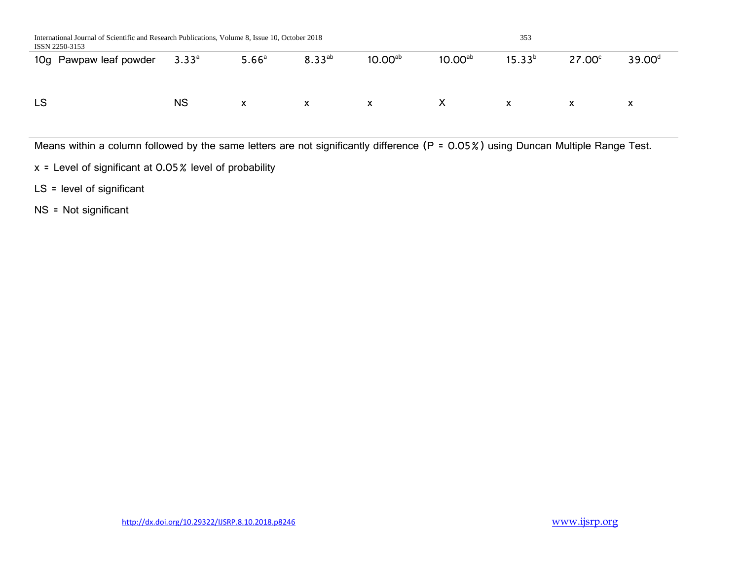| International Journal of Scientific and Research Publications, Volume 8, Issue 10, October 2018<br>ISSN 2250-3153 |            |                   |             |                     |                          | 353         |               |                    |
|-------------------------------------------------------------------------------------------------------------------|------------|-------------------|-------------|---------------------|--------------------------|-------------|---------------|--------------------|
| 10g Pawpaw leaf powder                                                                                            | $3.33^{a}$ | 5.66 <sup>a</sup> | $8.33^{ab}$ | 10.00 <sup>ab</sup> | 10.00 <sup>ab</sup>      | $15.33^{b}$ | $27.00^\circ$ | 39.00 <sup>d</sup> |
|                                                                                                                   |            |                   |             |                     |                          |             |               |                    |
| LS                                                                                                                | <b>NS</b>  | X                 | X           | X                   | $\mathsf{X}$             | X           | X             | X                  |
|                                                                                                                   |            |                   |             |                     |                          |             |               |                    |
| .<br>.                                                                                                            |            |                   |             | .                   | $\overline{\phantom{a}}$ |             | -------       |                    |

Means within a column followed by the same letters are not significantly difference (P = 0.05%) using Duncan Multiple Range Test.

x = Level of significant at 0.05% level of probability

LS = level of significant

NS = Not significant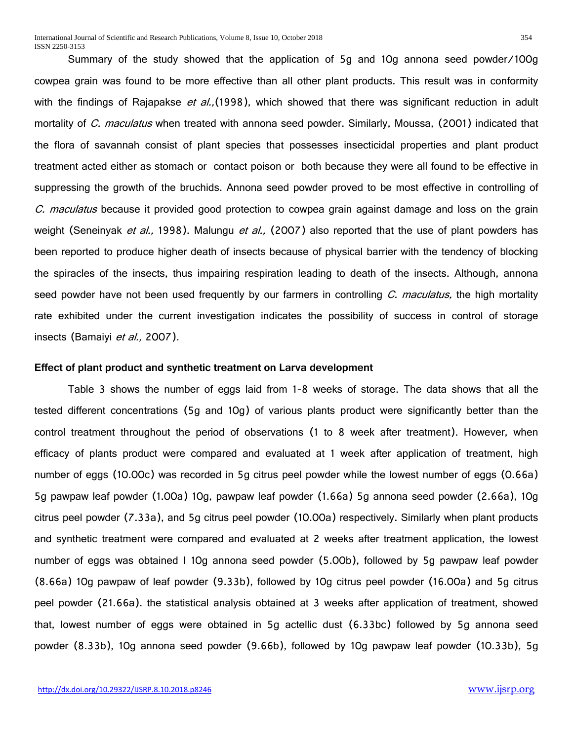Summary of the study showed that the application of 5g and 10g annona seed powder/100g cowpea grain was found to be more effective than all other plant products. This result was in conformity with the findings of Rajapakse *et al.*, (1998), which showed that there was significant reduction in adult mortality of C. maculatus when treated with annona seed powder. Similarly, Moussa, (2001) indicated that the flora of savannah consist of plant species that possesses insecticidal properties and plant product treatment acted either as stomach or contact poison or both because they were all found to be effective in suppressing the growth of the bruchids. Annona seed powder proved to be most effective in controlling of C. maculatus because it provided good protection to cowpea grain against damage and loss on the grain weight (Seneinyak et al., 1998). Malungu et al., (2007) also reported that the use of plant powders has been reported to produce higher death of insects because of physical barrier with the tendency of blocking the spiracles of the insects, thus impairing respiration leading to death of the insects. Although, annona seed powder have not been used frequently by our farmers in controlling C. maculatus, the high mortality rate exhibited under the current investigation indicates the possibility of success in control of storage insects (Bamaiyi et al., 2007).

#### **Effect of plant product and synthetic treatment on Larva development**

Table 3 shows the number of eggs laid from 1-8 weeks of storage. The data shows that all the tested different concentrations (5g and 10g) of various plants product were significantly better than the control treatment throughout the period of observations (1 to 8 week after treatment). However, when efficacy of plants product were compared and evaluated at 1 week after application of treatment, high number of eggs (10.00c) was recorded in 5g citrus peel powder while the lowest number of eggs (0.66a) 5g pawpaw leaf powder (1.00a) 10g, pawpaw leaf powder (1.66a) 5g annona seed powder (2.66a), 10g citrus peel powder (7.33a), and 5g citrus peel powder (10.00a) respectively. Similarly when plant products and synthetic treatment were compared and evaluated at 2 weeks after treatment application, the lowest number of eggs was obtained I 10g annona seed powder (5.00b), followed by 5g pawpaw leaf powder (8.66a) 10g pawpaw of leaf powder (9.33b), followed by 10g citrus peel powder (16.00a) and 5g citrus peel powder (21.66a). the statistical analysis obtained at 3 weeks after application of treatment, showed that, lowest number of eggs were obtained in 5g actellic dust (6.33bc) followed by 5g annona seed powder (8.33b), 10g annona seed powder (9.66b), followed by 10g pawpaw leaf powder (10.33b), 5g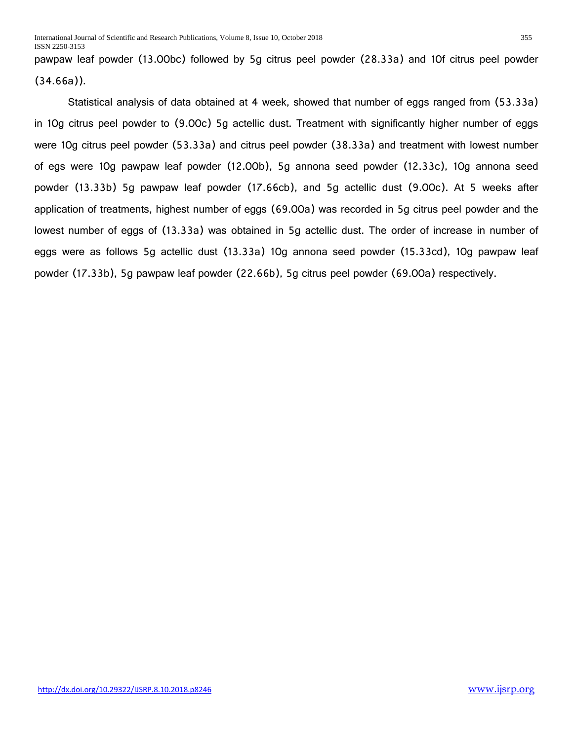pawpaw leaf powder (13.00bc) followed by 5g citrus peel powder (28.33a) and 10f citrus peel powder (34.66a)).

Statistical analysis of data obtained at 4 week, showed that number of eggs ranged from (53.33a) in 10g citrus peel powder to (9.00c) 5g actellic dust. Treatment with significantly higher number of eggs were 10g citrus peel powder (53.33a) and citrus peel powder (38.33a) and treatment with lowest number of egs were 10g pawpaw leaf powder (12.00b), 5g annona seed powder (12.33c), 10g annona seed powder (13.33b) 5g pawpaw leaf powder (17.66cb), and 5g actellic dust (9.00c). At 5 weeks after application of treatments, highest number of eggs (69.00a) was recorded in 5g citrus peel powder and the lowest number of eggs of (13.33a) was obtained in 5g actellic dust. The order of increase in number of eggs were as follows 5g actellic dust (13.33a) 10g annona seed powder (15.33cd), 10g pawpaw leaf powder (17.33b), 5g pawpaw leaf powder (22.66b), 5g citrus peel powder (69.00a) respectively.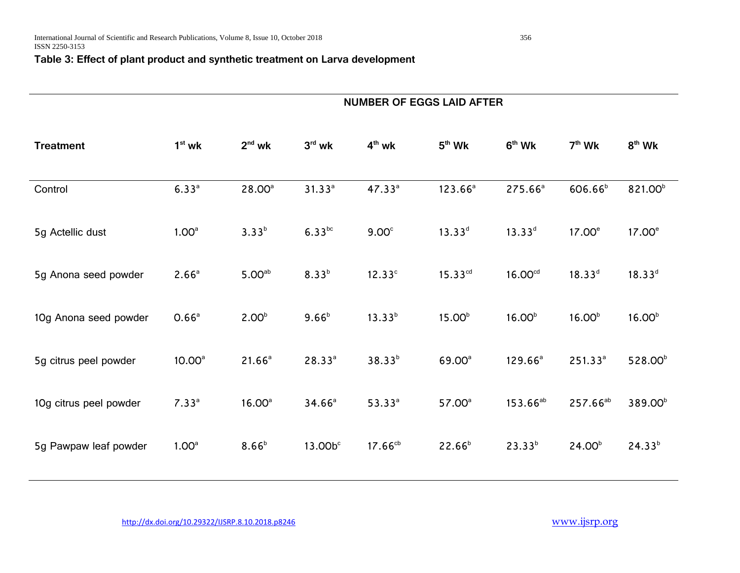# **Table 3: Effect of plant product and synthetic treatment on Larva development**

|                        | <b>NUMBER OF EGGS LAID AFTER</b> |                    |             |                    |                    |                     |                      |                     |
|------------------------|----------------------------------|--------------------|-------------|--------------------|--------------------|---------------------|----------------------|---------------------|
| <b>Treatment</b>       | $1st$ wk                         | $2nd$ wk           | $3rd$ wk    | $4th$ wk           | $5th$ Wk           | $6th$ Wk            | $7th$ Wk             | $8th$ Wk            |
| Control                | $6.33^{a}$                       | 28.00 <sup>a</sup> | $31.33^{a}$ | 47.33 <sup>a</sup> | $123.66^a$         | 275.66 <sup>a</sup> | 606.66 <sup>b</sup>  | 821.00 <sup>b</sup> |
| 5g Actellic dust       | 1.00 <sup>a</sup>                | $3.33^{b}$         | $6.33^{bc}$ | 9.00 <sup>c</sup>  | $13.33^{d}$        | $13.33^{d}$         | 17.00 <sup>e</sup>   | 17.00 <sup>e</sup>  |
| 5g Anona seed powder   | 2.66 <sup>a</sup>                | 5.00 <sup>ab</sup> | $8.33^{b}$  | 12.33 <sup>c</sup> | $15.33^{cd}$       | 16.00 <sup>cd</sup> | $18.33^{d}$          | $18.33^{d}$         |
| 10g Anona seed powder  | 0.66 <sup>a</sup>                | 2.00 <sup>b</sup>  | $9.66^{b}$  | $13.33^{b}$        | 15.00 <sup>b</sup> | 16.00 <sup>b</sup>  | 16.00 <sup>b</sup>   | 16.00 <sup>b</sup>  |
| 5g citrus peel powder  | 10.00 <sup>a</sup>               | $21.66^a$          | $28.33^{a}$ | $38.33^{b}$        | 69.00 <sup>a</sup> | $129.66^a$          | $251.33^{a}$         | 528.00 <sup>b</sup> |
| 10g citrus peel powder | 7.33 <sup>a</sup>                | 16.00 <sup>a</sup> | $34.66^a$   | $53.33^{a}$        | 57.00 <sup>a</sup> | $153.66^{ab}$       | 257.66 <sup>ab</sup> | 389.00 <sup>b</sup> |
| 5g Pawpaw leaf powder  | 1.00 <sup>a</sup>                | $8.66^{b}$         | 13.00bc     | $17.66^{cb}$       | $22.66^{b}$        | $23.33^{b}$         | 24.00 <sup>b</sup>   | $24.33^{b}$         |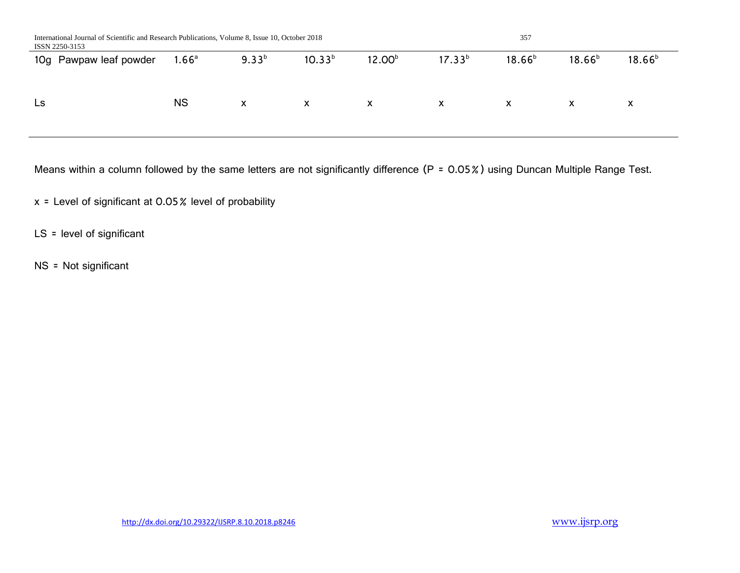| $9.33^{b}$<br>$10.33^{b}$<br>$18.66^{b}$<br>$17.33^{b}$<br>$18.66^{b}$<br>$18.66^{b}$<br>12.00 <sup>b</sup><br>$1.66$ <sup>a</sup><br>10g Pawpaw leaf powder<br><b>NS</b><br>Ls<br>X<br>X<br>X<br>X<br>X.<br>X<br>X | International Journal of Scientific and Research Publications, Volume 8, Issue 10, October 2018<br>ISSN 2250-3153 |  | 357 |  |  |  |
|---------------------------------------------------------------------------------------------------------------------------------------------------------------------------------------------------------------------|-------------------------------------------------------------------------------------------------------------------|--|-----|--|--|--|
|                                                                                                                                                                                                                     |                                                                                                                   |  |     |  |  |  |
|                                                                                                                                                                                                                     |                                                                                                                   |  |     |  |  |  |

Means within a column followed by the same letters are not significantly difference (P = 0.05%) using Duncan Multiple Range Test.

x = Level of significant at 0.05% level of probability

LS = level of significant

NS = Not significant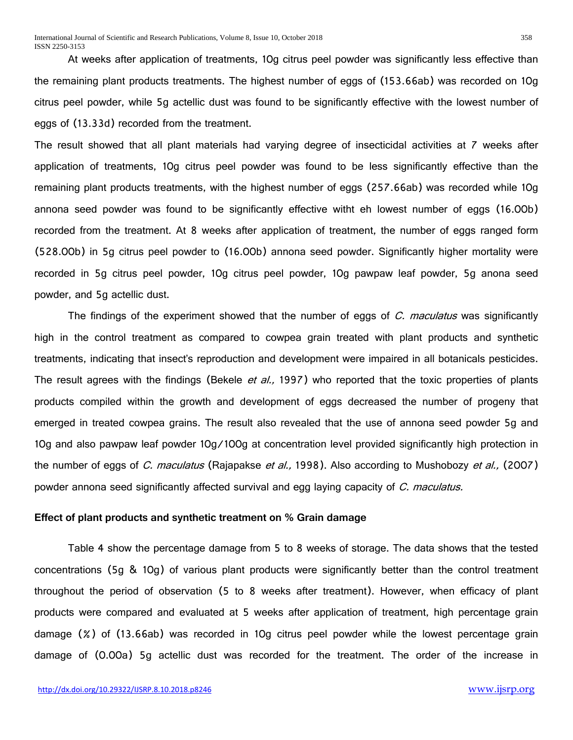At weeks after application of treatments, 10g citrus peel powder was significantly less effective than the remaining plant products treatments. The highest number of eggs of (153.66ab) was recorded on 10g citrus peel powder, while 5g actellic dust was found to be significantly effective with the lowest number of eggs of (13.33d) recorded from the treatment.

The result showed that all plant materials had varying degree of insecticidal activities at 7 weeks after application of treatments, 10g citrus peel powder was found to be less significantly effective than the remaining plant products treatments, with the highest number of eggs (257.66ab) was recorded while 10g annona seed powder was found to be significantly effective witht eh lowest number of eggs (16.00b) recorded from the treatment. At 8 weeks after application of treatment, the number of eggs ranged form (528.00b) in 5g citrus peel powder to (16.00b) annona seed powder. Significantly higher mortality were recorded in 5g citrus peel powder, 10g citrus peel powder, 10g pawpaw leaf powder, 5g anona seed powder, and 5g actellic dust.

The findings of the experiment showed that the number of eggs of C. maculatus was significantly high in the control treatment as compared to cowpea grain treated with plant products and synthetic treatments, indicating that insect's reproduction and development were impaired in all botanicals pesticides. The result agrees with the findings (Bekele et al., 1997) who reported that the toxic properties of plants products compiled within the growth and development of eggs decreased the number of progeny that emerged in treated cowpea grains. The result also revealed that the use of annona seed powder 5g and 10g and also pawpaw leaf powder 10g/100g at concentration level provided significantly high protection in the number of eggs of C. maculatus (Rajapakse et al., 1998). Also according to Mushobozy et al., (2007) powder annona seed significantly affected survival and egg laying capacity of C. maculatus.

#### **Effect of plant products and synthetic treatment on % Grain damage**

Table 4 show the percentage damage from 5 to 8 weeks of storage. The data shows that the tested concentrations (5g & 10g) of various plant products were significantly better than the control treatment throughout the period of observation (5 to 8 weeks after treatment). However, when efficacy of plant products were compared and evaluated at 5 weeks after application of treatment, high percentage grain damage (%) of (13.66ab) was recorded in 10g citrus peel powder while the lowest percentage grain damage of (0.00a) 5g actellic dust was recorded for the treatment. The order of the increase in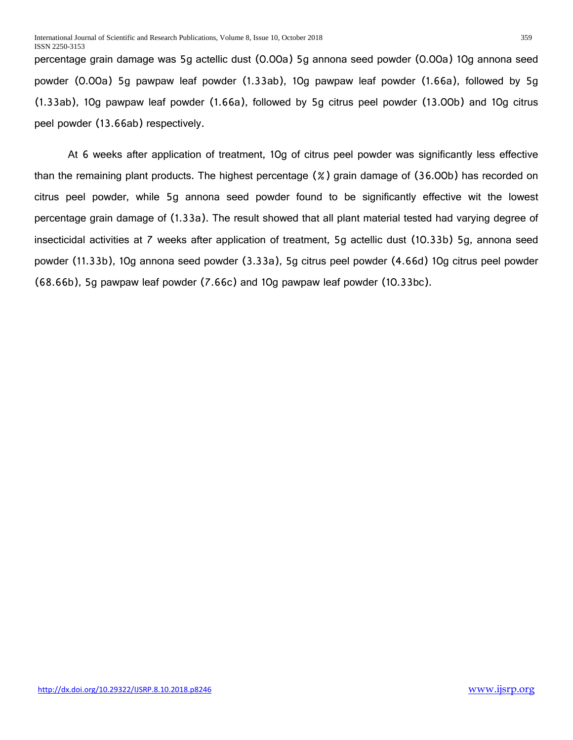percentage grain damage was 5g actellic dust (0.00a) 5g annona seed powder (0.00a) 10g annona seed powder (0.00a) 5g pawpaw leaf powder (1.33ab), 10g pawpaw leaf powder (1.66a), followed by 5g (1.33ab), 10g pawpaw leaf powder (1.66a), followed by 5g citrus peel powder (13.00b) and 10g citrus peel powder (13.66ab) respectively.

At 6 weeks after application of treatment, 10g of citrus peel powder was significantly less effective than the remaining plant products. The highest percentage (%) grain damage of (36.00b) has recorded on citrus peel powder, while 5g annona seed powder found to be significantly effective wit the lowest percentage grain damage of (1.33a). The result showed that all plant material tested had varying degree of insecticidal activities at 7 weeks after application of treatment, 5g actellic dust (10.33b) 5g, annona seed powder (11.33b), 10g annona seed powder (3.33a), 5g citrus peel powder (4.66d) 10g citrus peel powder (68.66b), 5g pawpaw leaf powder (7.66c) and 10g pawpaw leaf powder (10.33bc).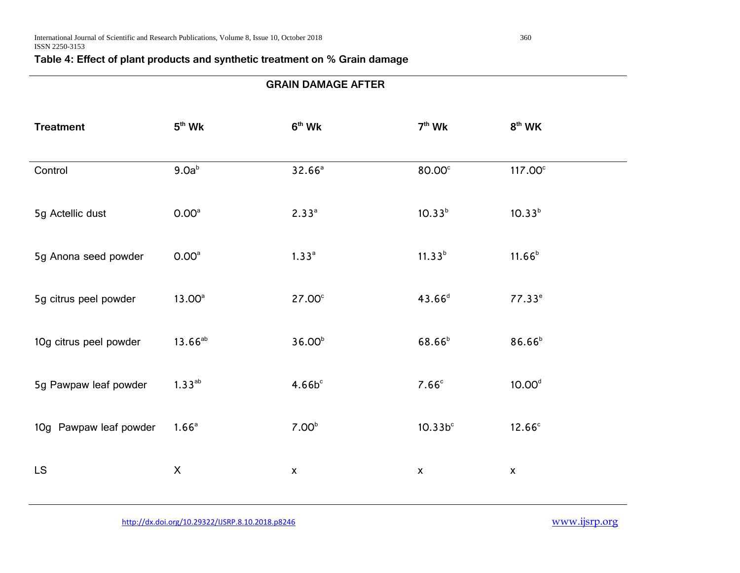# **Table 4: Effect of plant products and synthetic treatment on % Grain damage**

| <b>GRAIN DAMAGE AFTER</b> |                     |                    |                     |                     |  |  |
|---------------------------|---------------------|--------------------|---------------------|---------------------|--|--|
| <b>Treatment</b>          | $5th$ Wk            | $6th$ Wk           | $7th$ Wk            | $8th$ WK            |  |  |
| Control                   | 9.0a <sup>b</sup>   | 32.66 <sup>a</sup> | 80.00°              | 117.00 <sup>c</sup> |  |  |
| 5g Actellic dust          | 0.00 <sup>a</sup>   | $2.33^{a}$         | $10.33^{b}$         | $10.33^{b}$         |  |  |
| 5g Anona seed powder      | 0.00 <sup>a</sup>   | 1.33 <sup>a</sup>  | $11.33^{b}$         | $11.66^{b}$         |  |  |
| 5g citrus peel powder     | 13.00 <sup>a</sup>  | 27.00 <sup>c</sup> | $43.66^{d}$         | $77.33^e$           |  |  |
| 10g citrus peel powder    | 13.66 <sup>ab</sup> | 36.00 <sup>b</sup> | 68.66 <sup>b</sup>  | 86.66 <sup>b</sup>  |  |  |
| 5g Pawpaw leaf powder     | $1.33^{ab}$         | $4.66b^c$          | 7.66 <sup>c</sup>   | 10.00 <sup>d</sup>  |  |  |
| 10g Pawpaw leaf powder    | 1.66 <sup>a</sup>   | 7.00 <sup>b</sup>  | 10.33b <sup>c</sup> | 12.66 <sup>c</sup>  |  |  |
| <b>LS</b>                 | $\pmb{\times}$      | $\pmb{\mathsf{x}}$ | $\pmb{\mathsf{x}}$  | $\pmb{\mathsf{X}}$  |  |  |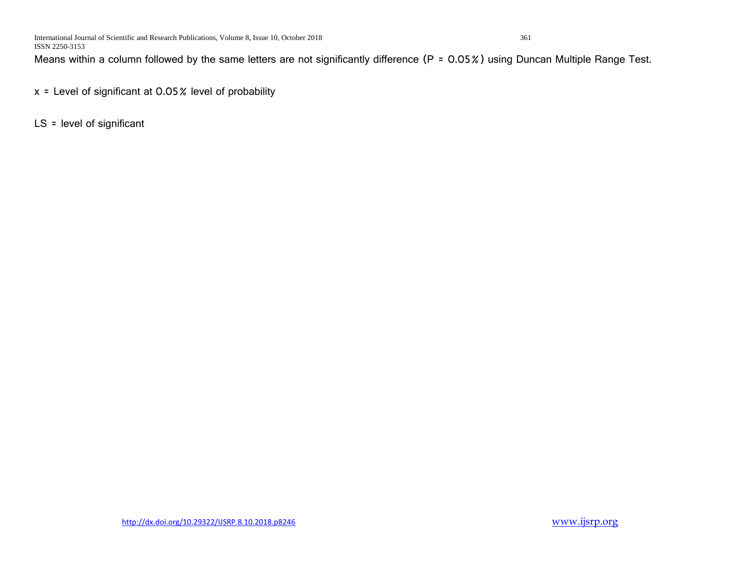Means within a column followed by the same letters are not significantly difference (P = 0.05%) using Duncan Multiple Range Test.

x = Level of significant at 0.05% level of probability

LS = level of significant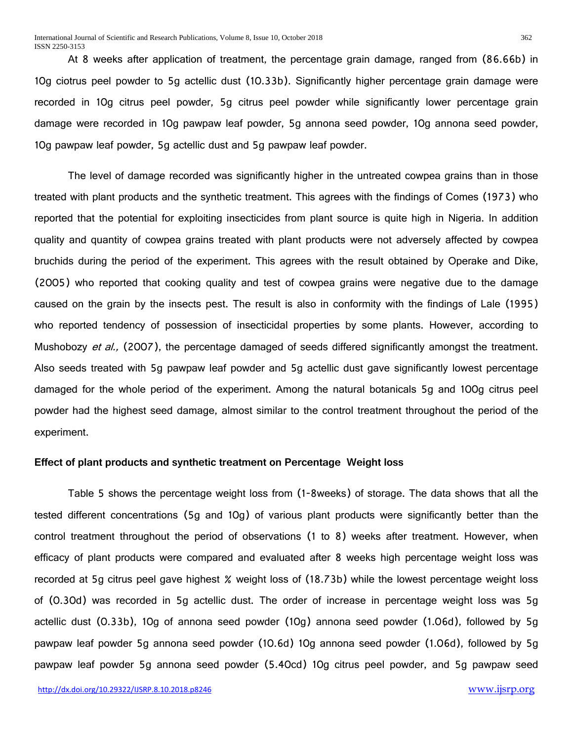At 8 weeks after application of treatment, the percentage grain damage, ranged from (86.66b) in 10g ciotrus peel powder to 5g actellic dust (10.33b). Significantly higher percentage grain damage were recorded in 10g citrus peel powder, 5g citrus peel powder while significantly lower percentage grain damage were recorded in 10g pawpaw leaf powder, 5g annona seed powder, 10g annona seed powder, 10g pawpaw leaf powder, 5g actellic dust and 5g pawpaw leaf powder.

The level of damage recorded was significantly higher in the untreated cowpea grains than in those treated with plant products and the synthetic treatment. This agrees with the findings of Comes (1973) who reported that the potential for exploiting insecticides from plant source is quite high in Nigeria. In addition quality and quantity of cowpea grains treated with plant products were not adversely affected by cowpea bruchids during the period of the experiment. This agrees with the result obtained by Operake and Dike, (2005) who reported that cooking quality and test of cowpea grains were negative due to the damage caused on the grain by the insects pest. The result is also in conformity with the findings of Lale (1995) who reported tendency of possession of insecticidal properties by some plants. However, according to Mushobozy et al., (2007), the percentage damaged of seeds differed significantly amongst the treatment. Also seeds treated with 5g pawpaw leaf powder and 5g actellic dust gave significantly lowest percentage damaged for the whole period of the experiment. Among the natural botanicals 5g and 100g citrus peel powder had the highest seed damage, almost similar to the control treatment throughout the period of the experiment.

# **Effect of plant products and synthetic treatment on Percentage Weight loss**

Table 5 shows the percentage weight loss from (1-8weeks) of storage. The data shows that all the tested different concentrations (5g and 10g) of various plant products were significantly better than the control treatment throughout the period of observations (1 to 8) weeks after treatment. However, when efficacy of plant products were compared and evaluated after 8 weeks high percentage weight loss was recorded at 5g citrus peel gave highest % weight loss of (18.73b) while the lowest percentage weight loss of (0.30d) was recorded in 5g actellic dust. The order of increase in percentage weight loss was 5g actellic dust (0.33b), 10g of annona seed powder (10g) annona seed powder (1.06d), followed by 5g pawpaw leaf powder 5g annona seed powder (10.6d) 10g annona seed powder (1.06d), followed by 5g pawpaw leaf powder 5g annona seed powder (5.40cd) 10g citrus peel powder, and 5g pawpaw seed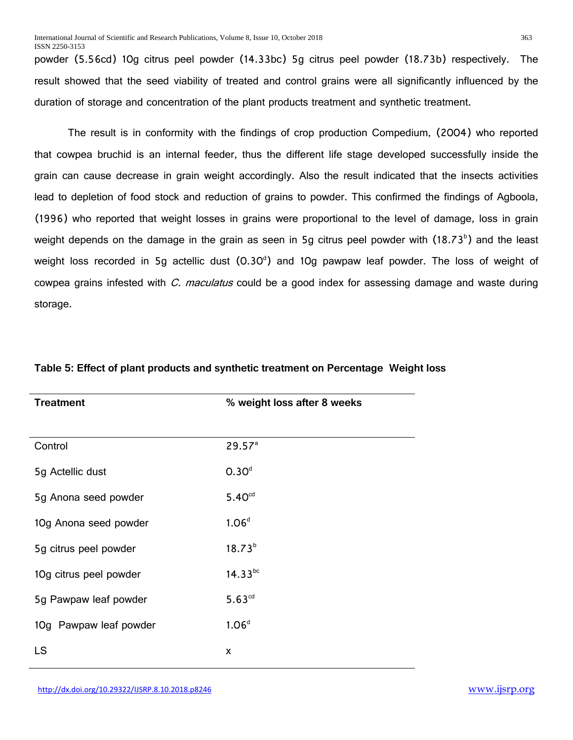powder (5.56cd) 10g citrus peel powder (14.33bc) 5g citrus peel powder (18.73b) respectively. The result showed that the seed viability of treated and control grains were all significantly influenced by the duration of storage and concentration of the plant products treatment and synthetic treatment.

The result is in conformity with the findings of crop production Compedium, (2004) who reported that cowpea bruchid is an internal feeder, thus the different life stage developed successfully inside the grain can cause decrease in grain weight accordingly. Also the result indicated that the insects activities lead to depletion of food stock and reduction of grains to powder. This confirmed the findings of Agboola, (1996) who reported that weight losses in grains were proportional to the level of damage, loss in grain weight depends on the damage in the grain as seen in 5g citrus peel powder with  $(18.73^b)$  and the least weight loss recorded in 5g actellic dust (0.30<sup>d</sup>) and 10g pawpaw leaf powder. The loss of weight of cowpea grains infested with *C. maculatus* could be a good index for assessing damage and waste during storage.

| <b>Treatment</b>       | % weight loss after 8 weeks |
|------------------------|-----------------------------|
|                        |                             |
| Control                | 29.57 <sup>a</sup>          |
| 5g Actellic dust       | 0.30 <sup>d</sup>           |
| 5g Anona seed powder   | 5.40 <sup>cd</sup>          |
| 10g Anona seed powder  | 1.06 <sup>d</sup>           |
| 5g citrus peel powder  | $18.73^{b}$                 |
| 10g citrus peel powder | $14.33^{bc}$                |
| 5g Pawpaw leaf powder  | $5.63^{cd}$                 |
| 10g Pawpaw leaf powder | 1.06 <sup>d</sup>           |
| LS                     | X                           |

#### **Table 5: Effect of plant products and synthetic treatment on Percentage Weight loss**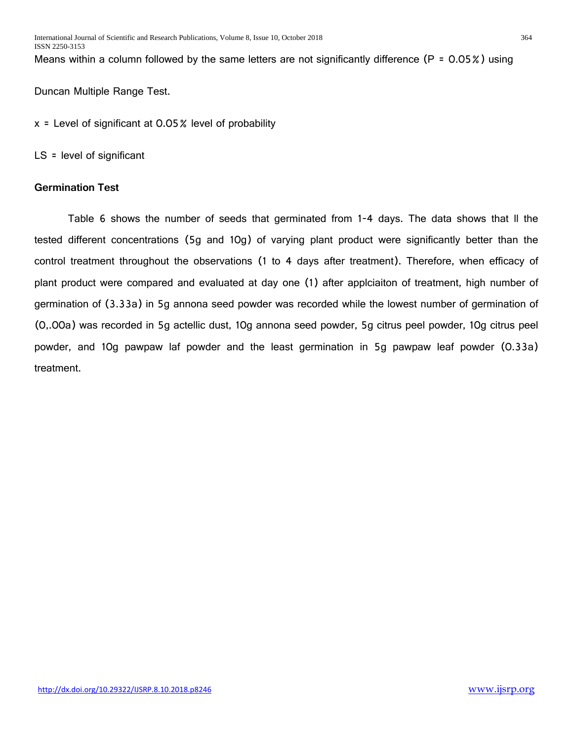Means within a column followed by the same letters are not significantly difference (P = 0.05%) using

Duncan Multiple Range Test.

 $x =$  Level of significant at 0.05% level of probability

LS = level of significant

# **Germination Test**

Table 6 shows the number of seeds that germinated from 1-4 days. The data shows that ll the tested different concentrations (5g and 10g) of varying plant product were significantly better than the control treatment throughout the observations (1 to 4 days after treatment). Therefore, when efficacy of plant product were compared and evaluated at day one (1) after applciaiton of treatment, high number of germination of (3.33a) in 5g annona seed powder was recorded while the lowest number of germination of (0,.00a) was recorded in 5g actellic dust, 10g annona seed powder, 5g citrus peel powder, 10g citrus peel powder, and 10g pawpaw laf powder and the least germination in 5g pawpaw leaf powder (0.33a) treatment.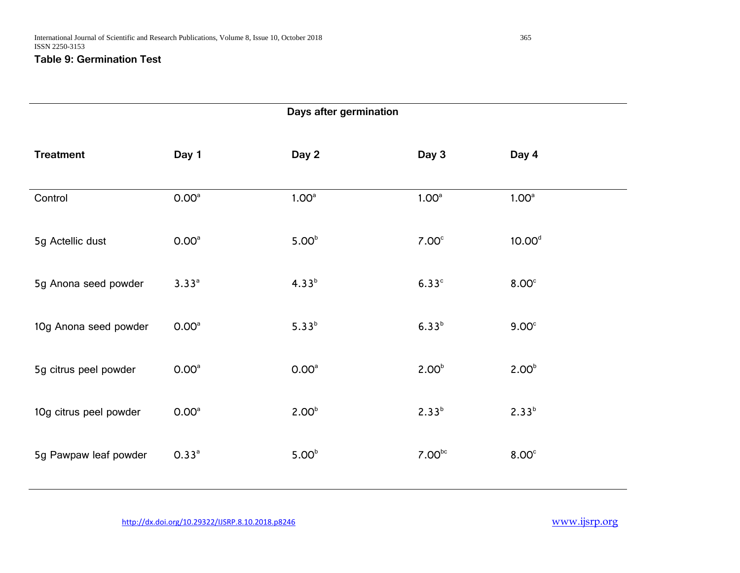# **Table 9: Germination Test**

| Days after germination |                   |                   |                    |                    |  |  |  |
|------------------------|-------------------|-------------------|--------------------|--------------------|--|--|--|
| <b>Treatment</b>       | Day 1             | Day 2             | Day 3              | Day 4              |  |  |  |
| Control                | 0.00 <sup>a</sup> | 1.00 <sup>a</sup> | 1.00 <sup>a</sup>  | 1.00 <sup>a</sup>  |  |  |  |
| 5g Actellic dust       | 0.00 <sup>a</sup> | 5.00 <sup>b</sup> | 7.00 <sup>c</sup>  | 10.00 <sup>d</sup> |  |  |  |
| 5g Anona seed powder   | $3.33^{a}$        | $4.33^{b}$        | 6.33 <sup>c</sup>  | 8.00 <sup>c</sup>  |  |  |  |
| 10g Anona seed powder  | 0.00 <sup>a</sup> | $5.33^{b}$        | $6.33^{b}$         | 9.00 <sup>c</sup>  |  |  |  |
| 5g citrus peel powder  | 0.00 <sup>a</sup> | 0.00 <sup>a</sup> | 2.00 <sup>b</sup>  | 2.00 <sup>b</sup>  |  |  |  |
| 10g citrus peel powder | 0.00 <sup>a</sup> | 2.00 <sup>b</sup> | $2.33^{b}$         | $2.33^{b}$         |  |  |  |
| 5g Pawpaw leaf powder  | 0.33 <sup>a</sup> | 5.00 <sup>b</sup> | 7.00 <sub>pc</sub> | 8.00 <sup>c</sup>  |  |  |  |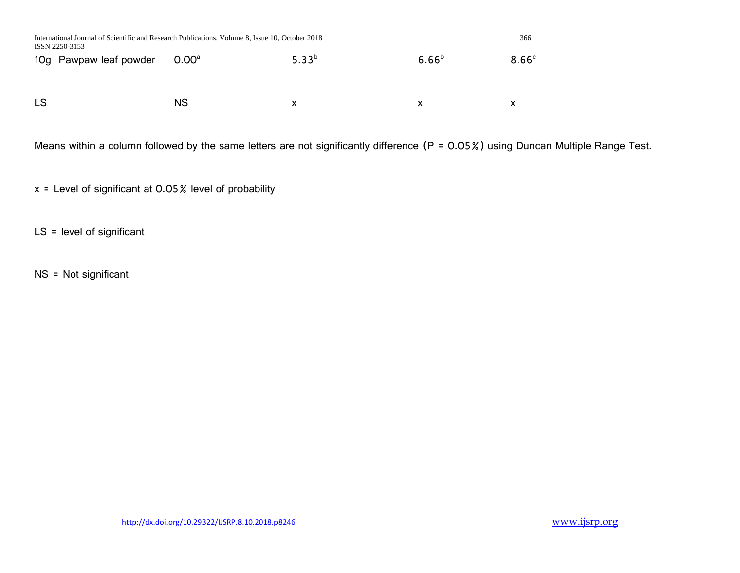| International Journal of Scientific and Research Publications, Volume 8, Issue 10, October 2018<br>ISSN 2250-3153 | 366               |            |            |                   |
|-------------------------------------------------------------------------------------------------------------------|-------------------|------------|------------|-------------------|
| 10g Pawpaw leaf powder                                                                                            | 0.00 <sup>a</sup> | $5.33^{b}$ | $6.66^{b}$ | 8.66 <sup>c</sup> |
|                                                                                                                   |                   |            |            |                   |
| <b>LS</b>                                                                                                         | <b>NS</b>         | x          | х          | х                 |

Means within a column followed by the same letters are not significantly difference (P = 0.05%) using Duncan Multiple Range Test.

x = Level of significant at 0.05% level of probability

LS = level of significant

NS = Not significant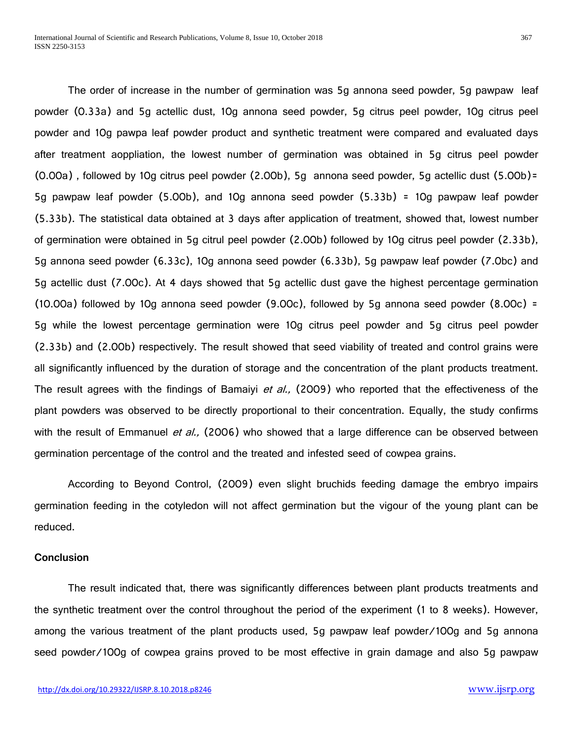The order of increase in the number of germination was 5g annona seed powder, 5g pawpaw leaf powder (0.33a) and 5g actellic dust, 10g annona seed powder, 5g citrus peel powder, 10g citrus peel powder and 10g pawpa leaf powder product and synthetic treatment were compared and evaluated days after treatment aoppliation, the lowest number of germination was obtained in 5g citrus peel powder (0.00a) , followed by 10g citrus peel powder (2.00b), 5g annona seed powder, 5g actellic dust (5.00b)= 5g pawpaw leaf powder (5.00b), and 10g annona seed powder (5.33b) = 10g pawpaw leaf powder (5.33b). The statistical data obtained at 3 days after application of treatment, showed that, lowest number of germination were obtained in 5g citrul peel powder (2.00b) followed by 10g citrus peel powder (2.33b), 5g annona seed powder (6.33c), 10g annona seed powder (6.33b), 5g pawpaw leaf powder (7.0bc) and 5g actellic dust (7.00c). At 4 days showed that 5g actellic dust gave the highest percentage germination (10.00a) followed by 10g annona seed powder (9.00c), followed by 5g annona seed powder (8.00c) = 5g while the lowest percentage germination were 10g citrus peel powder and 5g citrus peel powder (2.33b) and (2.00b) respectively. The result showed that seed viability of treated and control grains were all significantly influenced by the duration of storage and the concentration of the plant products treatment. The result agrees with the findings of Bamaiyi *et al.*, (2009) who reported that the effectiveness of the plant powders was observed to be directly proportional to their concentration. Equally, the study confirms with the result of Emmanuel et al., (2006) who showed that a large difference can be observed between germination percentage of the control and the treated and infested seed of cowpea grains.

According to Beyond Control, (2009) even slight bruchids feeding damage the embryo impairs germination feeding in the cotyledon will not affect germination but the vigour of the young plant can be reduced.

# **Conclusion**

The result indicated that, there was significantly differences between plant products treatments and the synthetic treatment over the control throughout the period of the experiment (1 to 8 weeks). However, among the various treatment of the plant products used, 5g pawpaw leaf powder/100g and 5g annona seed powder/100g of cowpea grains proved to be most effective in grain damage and also 5g pawpaw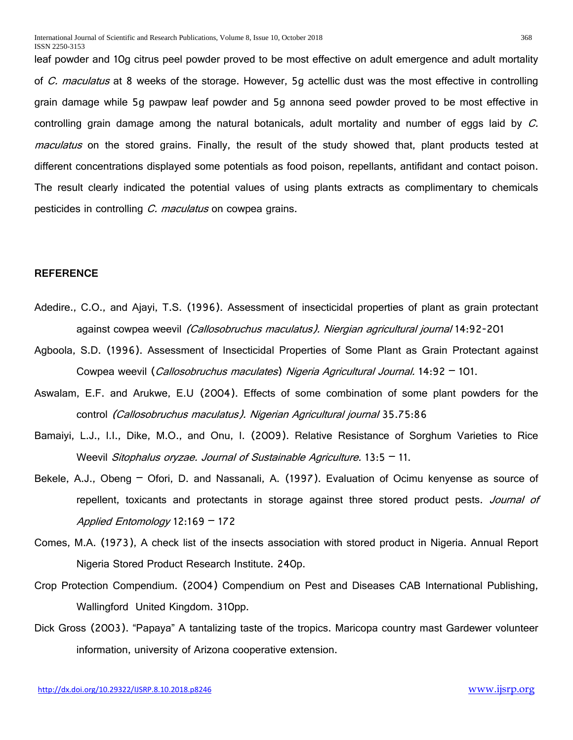leaf powder and 10g citrus peel powder proved to be most effective on adult emergence and adult mortality of C. maculatus at 8 weeks of the storage. However, 5g actellic dust was the most effective in controlling grain damage while 5g pawpaw leaf powder and 5g annona seed powder proved to be most effective in controlling grain damage among the natural botanicals, adult mortality and number of eggs laid by  $C$ . maculatus on the stored grains. Finally, the result of the study showed that, plant products tested at different concentrations displayed some potentials as food poison, repellants, antifidant and contact poison. The result clearly indicated the potential values of using plants extracts as complimentary to chemicals pesticides in controlling C. maculatus on cowpea grains.

# **REFERENCE**

- Adedire., C.O., and Ajayi, T.S. (1996). Assessment of insecticidal properties of plant as grain protectant against cowpea weevil *(Callosobruchus maculatus). Niergian agricultural journal* 14:92-201
- Agboola, S.D. (1996). Assessment of Insecticidal Properties of Some Plant as Grain Protectant against Cowpea weevil (*Callosobruchus maculates*) Nigeria Agricultural Journal. 14:92 - 101.
- Aswalam, E.F. and Arukwe, E.U (2004). Effects of some combination of some plant powders for the control (Callosobruchus maculatus). Nigerian Agricultural journal 35.75:86
- Bamaiyi, L.J., I.I., Dike, M.O., and Onu, I. (2009). Relative Resistance of Sorghum Varieties to Rice Weevil Sitophalus oryzae. Journal of Sustainable Agriculture.  $13:5 - 11$ .
- Bekele, A.J., Obeng Ofori, D. and Nassanali, A. (1997). Evaluation of Ocimu kenyense as source of repellent, toxicants and protectants in storage against three stored product pests. Journal of Applied Entomology 12:169 – 172
- Comes, M.A. (1973), A check list of the insects association with stored product in Nigeria. Annual Report Nigeria Stored Product Research Institute. 240p.
- Crop Protection Compendium. (2004) Compendium on Pest and Diseases CAB International Publishing, Wallingford United Kingdom. 310pp.
- Dick Gross (2003). "Papaya" A tantalizing taste of the tropics. Maricopa country mast Gardewer volunteer information, university of Arizona cooperative extension.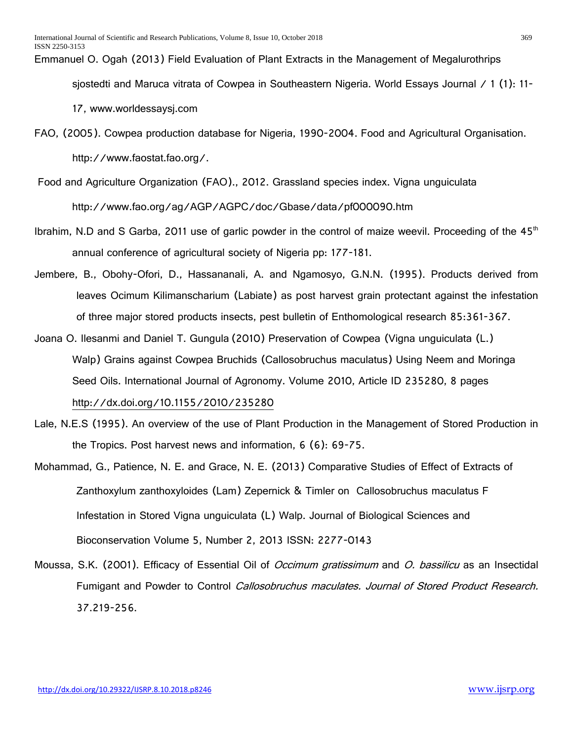# Emmanuel O. Ogah (2013) Field Evaluation of Plant Extracts in the Management of Megalurothrips

sjostedti and Maruca vitrata of Cowpea in Southeastern Nigeria. World Essays Journal / 1 (1): 11-

17, www.worldessaysj.com

- FAO, (2005). Cowpea production database for Nigeria, 1990-2004. Food and Agricultural Organisation. http://www.faostat.fao.org/.
- Food and Agriculture Organization (FAO)., 2012. Grassland species index. Vigna unguiculata http://www.fao.org/ag/AGP/AGPC/doc/Gbase/data/pf000090.htm
- Ibrahim, N.D and S Garba, 2011 use of garlic powder in the control of maize weevil. Proceeding of the  $45<sup>th</sup>$ annual conference of agricultural society of Nigeria pp: 177-181.
- Jembere, B., Obohy-Ofori, D., Hassananali, A. and Ngamosyo, G.N.N. (1995). Products derived from leaves Ocimum Kilimanscharium (Labiate) as post harvest grain protectant against the infestation of three major stored products insects, pest bulletin of Enthomological research 85:361-367.
- Joana O. [Ilesanmi](https://www.hindawi.com/42581609/) and Daniel T. [Gungula](https://www.hindawi.com/17643870/) (2010) Preservation of Cowpea (Vigna unguiculata (L.) Walp) Grains against Cowpea Bruchids (Callosobruchus maculatus) Using Neem and Moringa Seed Oils. International Journal of Agronomy. Volume 2010, Article ID 235280, 8 pages <http://dx.doi.org/10.1155/2010/235280>
- Lale, N.E.S (1995). An overview of the use of Plant Production in the Management of Stored Production in the Tropics. Post harvest news and information, 6 (6): 69-75.
- Mohammad, G., Patience, N. E. and Grace, N. E. (2013) Comparative Studies of Effect of Extracts of Zanthoxylum zanthoxyloides (Lam) Zepernick & Timler on Callosobruchus maculatus F Infestation in Stored Vigna unguiculata (L) Walp. Journal of Biological Sciences and Bioconservation Volume 5, Number 2, 2013 ISSN: 2277-0143
- Moussa, S.K. (2001). Efficacy of Essential Oil of *Occimum gratissimum* and *O. bassilicu* as an Insectidal Fumigant and Powder to Control Callosobruchus maculates. Journal of Stored Product Research. 37.219-256.